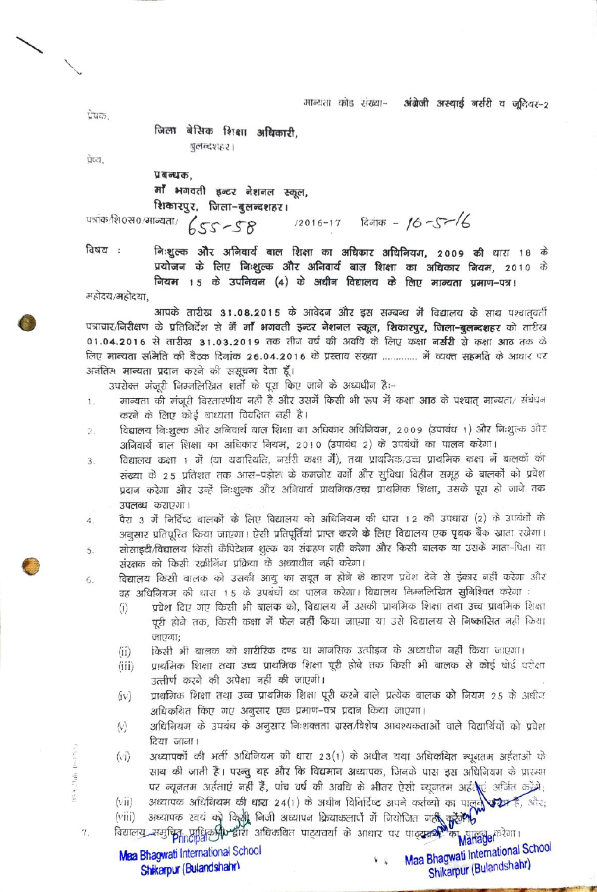मान्यता कोड संख्या-अंग्रेजी अस्थाई नर्सरी व जुनियर-2

पेषक.

प्रेष्य.

जिला बेसिक शिक्षा अधिकारी. बुलन्दशहर।

प्रबन्धक,<br>माँ भगवती इन्टर नेशनल स्कूल, **रिकारपुर, जिला-बुलन्दशहर।**<br>पत्रांक/शि0स0/मान्यता/  $\int$ SS ~SS 6-17 *i*cation - 16-S ~/

 $2u$ h (6.12)

 $\frac{1}{2}$ 

7.

विषय : निःशुल्क और अनिवार्य बाल शिक्षा का अधिकार अधिनियम, 2009 की धारा 18 के प्रयोजन के लिए निःशुल्क और अनिवार्य बाल शिक्षा का अधिकार नियम, 2010 के नियम 15 के उपनियम (4) के अधीन विद्यालय के लिए मान्यता प्रमाण-पत्र।

महोदय/महोदया,

आपके तारीख 31.08.2015 के आवेदन और इस सम्बन्ध में विद्यालय के साथ पश्चातवर्ती पत्राचार/निरीक्षण के प्रतिनिर्देश से मैं **माँ भगवती इन्टर नेशनल स्कूल, शिकारपुर, जिला-बुलन्दशह**र को तारीख<br>01.04.2016 से तारीख 31.03.2019 तक तीन वर्ष की अवधि के लिए कक्षा **नर्सरी से कक्षा आठ** तक के<br>लिए मान्यता समिति की बैठ अनंतिम मान्यता प्रदान करने की ससूचना देता हूँ।

उपरोक्त मंजूरी निम्नलिखित शर्तो के पूरा किए जाने के अध्यधीन है:--

- मान्यता की मंजूरी विस्तारणीय नहीं है और उसमें किसी भी रूप में कक्षा आठ के पश्चात् मान्यता/ संबंधन<br>करने के लिए कोई बाध्यता विवक्षित नहीं है।<br>विद्यालय निःशुल्क और अनिवार्य बाल शिक्षा का अधिकार अधिनियम, 2009 (उपाबंध 1) और नि 1.
- $2.$ 3] अिवार्य बाल शिक्षा का अधिकार नियम, 2010 (उपाबंध 2) के उपबंधों का पालन करेगा।
- विद्यालय कक्षा 1 में (या यथारियति, नर्सरी कक्षा में), तथा प्राथमिक/उच्च प्राथमिक कक्षा में बालकों की  $\overline{3}$ . संख्या के 2.5 प्रतिशत तक आस-पड़ोरू के कमजोर वर्गो और सुविधा विहीन समूह के बालकों को प्रवेश प्रदान करेगा और उन्हें निःशुल्क और अनिवार्य प्राथमिक/उच्च प्राथमिक शिक्षा, उसके पूरा हो जाने तक
- उपलब्ध कराएगा।<br>पैरा 3 में निर्दिष्ट बालकों के लिए विद्यालय को अधिनियम की धारा 12 की उपधारा (2) के उपबंधों के<br>अनुसार प्रतिपुरित किया जाएगा। ऐसी प्रतिपूर्तियां प्राप्त करने के लिए विद्यालय एक पृथक बैंक खाता रखेगा। 4. सोसाइटी/विद्यालय किसी कैपिटेशन शुल्क का संग्रहण नहीं करेगा और किसी बालक या उसके माता-पिता या 5. संरक्षक को किसी रक्रीनिंग प्रक्रिया के अध्याधीन नहीं करेगा।
- विद्यालय किसी बालक को उसकी आयु का सबूत न होने के कारण प्रवेश देने से इंकार नहीं करेगा और 6. वह अधिनियम की धारा 1.5 के उपबंधों का पालन करेगा। विद्यालय निम्नलिखित सुनिश्चित करेगा :
	- प्रवेश दिए गए किसी भी बालक को, विद्यालय में उसकी प्राथमिक शिक्षा तथा उच्च प्राथमिक शिक्षा  $(i)$ पूरी होने तक, किसी कक्षा में फेल नहीं किया जाएगा या उसे विद्यालय से निष्कासित नहीं किया
	- जाएगा;<br>किसी भी बालक को शारीरिक दण्ड या मानसिक उत्पीइन के अध्यधीन नहीं किया जाएगा।  $(ii)$
	- प्राथमिक शिक्षा तथा उच्च प्राथमिक शिक्षा पूरी होने तक किसी भी बालक से कोई बोर्ड परीक्षा  $(iii)$ उत्तीर्ण करने की अपेक्षा नहीं की जाएगी।
	- प्राथमिक शिक्षा तथा उच्च प्राथमिक शिक्षा पूरी करने वाले प्रत्येक बालक को नियम 25 के अधीज  $(iv)$ अधिकथित किए गए अनुसार एक प्रमाण-पत्र प्रदान किया जाएगा।
	- अधिनियम के उपबंध के अनुसार निःशक्तता ग्रस्त/विशेष आवश्यकताओं वाले विद्यार्थियों को प्रवेश  $(x)$
	- दिया जाना।<br>अध्यापकों की भर्ती अधिनियम की धारा 23(1) के अधीन यथा अधिकथित न्यूनतम अर्हताओं के<br>साथ की जाती है। परन्तू यह और कि विद्यमान अध्यापक, जिनके पास इस अधिनियम के प्रारम्भ  $(vi)$ पर न्यूनतम अर्हताएं नहीं हैं, पांच वर्ष की अवधि के भीतर ऐसी न्यूनतम अर्हते । अर्जित करेंगे;<br>(vii) अध्यापक अधिगियम की धारा 24(1) के अधीन विनिर्दिष्ट अपने कर्तव्यो का पालक करेंगे;<br>(viii) अध्यापक स्वयं को किसी निजी अध्यापन
	-

Mahager bill

Maa Bhagwati International School Mea Bhagwati International School  $\sqrt{2}$ Shikarpur (Bulandshahr) Shikarpur (Bulandshahr)